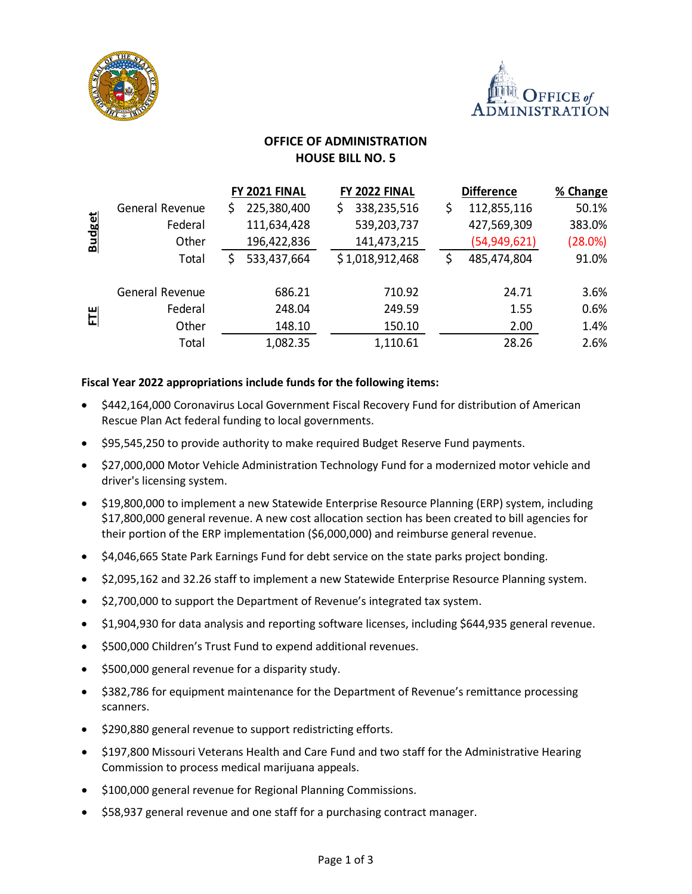



# **OFFICE OF ADMINISTRATION HOUSE BILL NO. 5**

|               |                 |    | FY 2021 FINAL | FY 2022 FINAL     | <b>Difference</b> | % Change |
|---------------|-----------------|----|---------------|-------------------|-------------------|----------|
| <b>Budget</b> | General Revenue | S. | 225,380,400   | \$<br>338,235,516 | \$<br>112,855,116 | 50.1%    |
|               | Federal         |    | 111,634,428   | 539,203,737       | 427,569,309       | 383.0%   |
|               | Other           |    | 196,422,836   | 141,473,215       | (54, 949, 621)    | (28.0%)  |
|               | Total           |    | 533,437,664   | \$1,018,912,468   | \$<br>485,474,804 | 91.0%    |
| 비             | General Revenue |    | 686.21        | 710.92            | 24.71             | 3.6%     |
|               | Federal         |    | 248.04        | 249.59            | 1.55              | 0.6%     |
|               | Other           |    | 148.10        | 150.10            | 2.00              | 1.4%     |
|               | Total           |    | 1,082.35      | 1,110.61          | 28.26             | 2.6%     |

### **Fiscal Year 2022 appropriations include funds for the following items:**

- \$442,164,000 Coronavirus Local Government Fiscal Recovery Fund for distribution of American Rescue Plan Act federal funding to local governments.
- \$95,545,250 to provide authority to make required Budget Reserve Fund payments.
- \$27,000,000 Motor Vehicle Administration Technology Fund for a modernized motor vehicle and driver's licensing system.
- \$19,800,000 to implement a new Statewide Enterprise Resource Planning (ERP) system, including \$17,800,000 general revenue. A new cost allocation section has been created to bill agencies for their portion of the ERP implementation (\$6,000,000) and reimburse general revenue.
- \$4,046,665 State Park Earnings Fund for debt service on the state parks project bonding.
- \$2,095,162 and 32.26 staff to implement a new Statewide Enterprise Resource Planning system.
- \$2,700,000 to support the Department of Revenue's integrated tax system.
- \$1,904,930 for data analysis and reporting software licenses, including \$644,935 general revenue.
- \$500,000 Children's Trust Fund to expend additional revenues.
- \$500,000 general revenue for a disparity study.
- \$382,786 for equipment maintenance for the Department of Revenue's remittance processing scanners.
- \$290,880 general revenue to support redistricting efforts.
- \$197,800 Missouri Veterans Health and Care Fund and two staff for the Administrative Hearing Commission to process medical marijuana appeals.
- \$100,000 general revenue for Regional Planning Commissions.
- \$58,937 general revenue and one staff for a purchasing contract manager.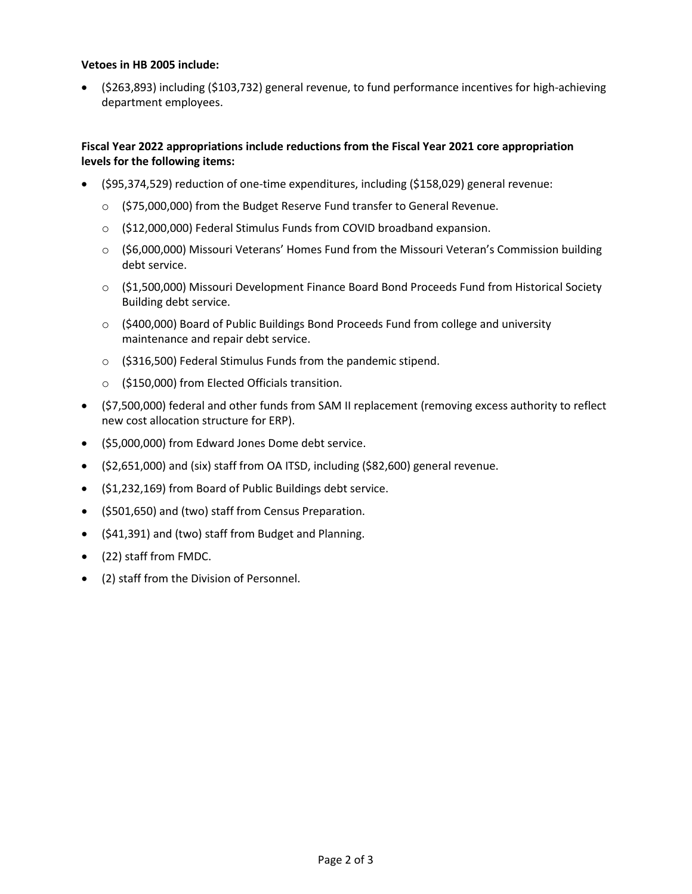#### **Vetoes in HB 2005 include:**

• (\$263,893) including (\$103,732) general revenue, to fund performance incentives for high-achieving department employees.

#### **Fiscal Year 2022 appropriations include reductions from the Fiscal Year 2021 core appropriation levels for the following items:**

- (\$95,374,529) reduction of one-time expenditures, including (\$158,029) general revenue:
	- o (\$75,000,000) from the Budget Reserve Fund transfer to General Revenue.
	- o (\$12,000,000) Federal Stimulus Funds from COVID broadband expansion.
	- $\circ$  (\$6,000,000) Missouri Veterans' Homes Fund from the Missouri Veteran's Commission building debt service.
	- o (\$1,500,000) Missouri Development Finance Board Bond Proceeds Fund from Historical Society Building debt service.
	- $\circ$  (\$400,000) Board of Public Buildings Bond Proceeds Fund from college and university maintenance and repair debt service.
	- o (\$316,500) Federal Stimulus Funds from the pandemic stipend.
	- o (\$150,000) from Elected Officials transition.
- (\$7,500,000) federal and other funds from SAM II replacement (removing excess authority to reflect new cost allocation structure for ERP).
- (\$5,000,000) from Edward Jones Dome debt service.
- (\$2,651,000) and (six) staff from OA ITSD, including (\$82,600) general revenue.
- (\$1,232,169) from Board of Public Buildings debt service.
- (\$501,650) and (two) staff from Census Preparation.
- (\$41,391) and (two) staff from Budget and Planning.
- (22) staff from FMDC.
- (2) staff from the Division of Personnel.